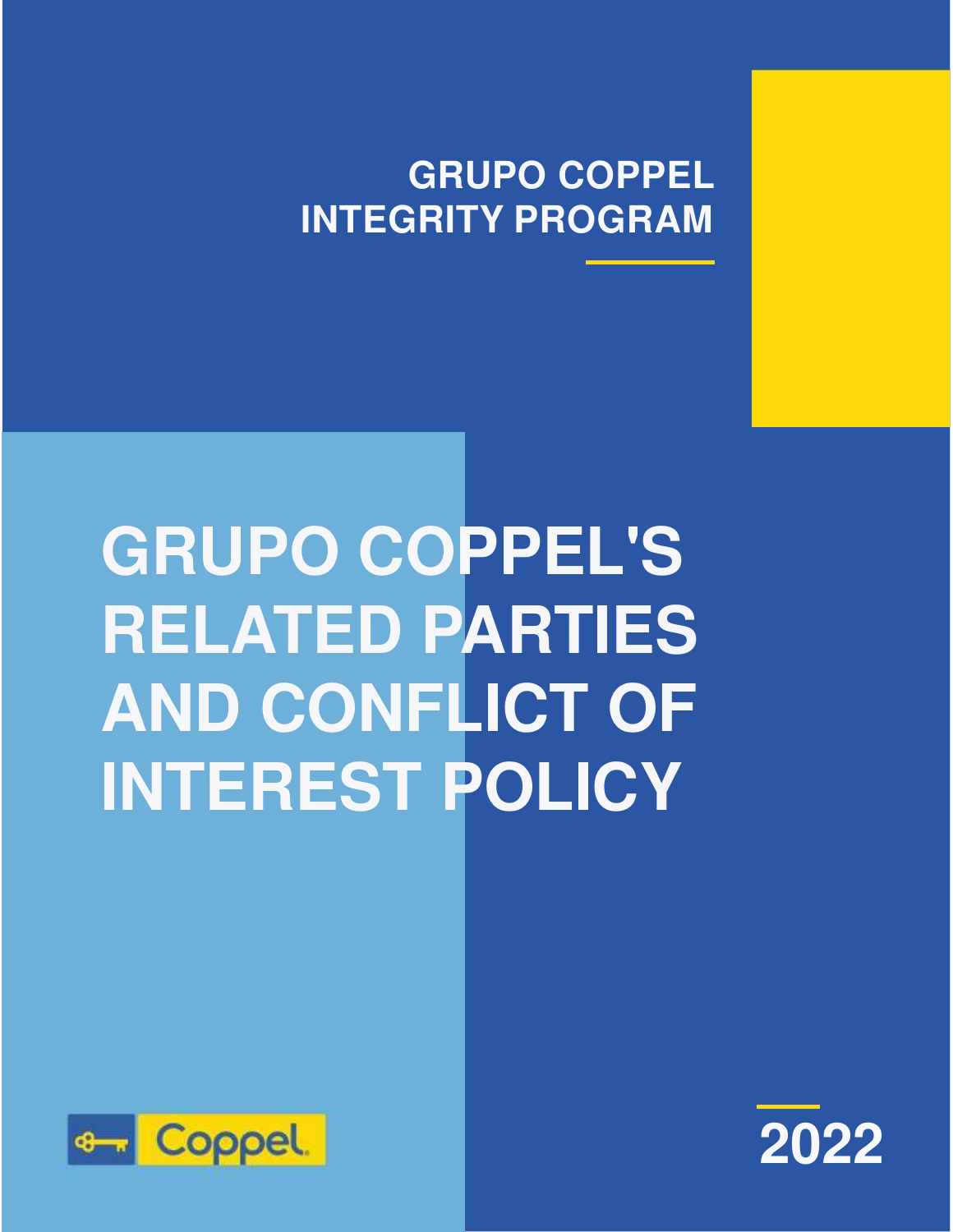## **GRUPO COPPEL INTEGRITY PROGRAM**

# **GRUPO COPPEL'S RELATED PARTIES AND CONFLICT OF INTEREST POLICY**



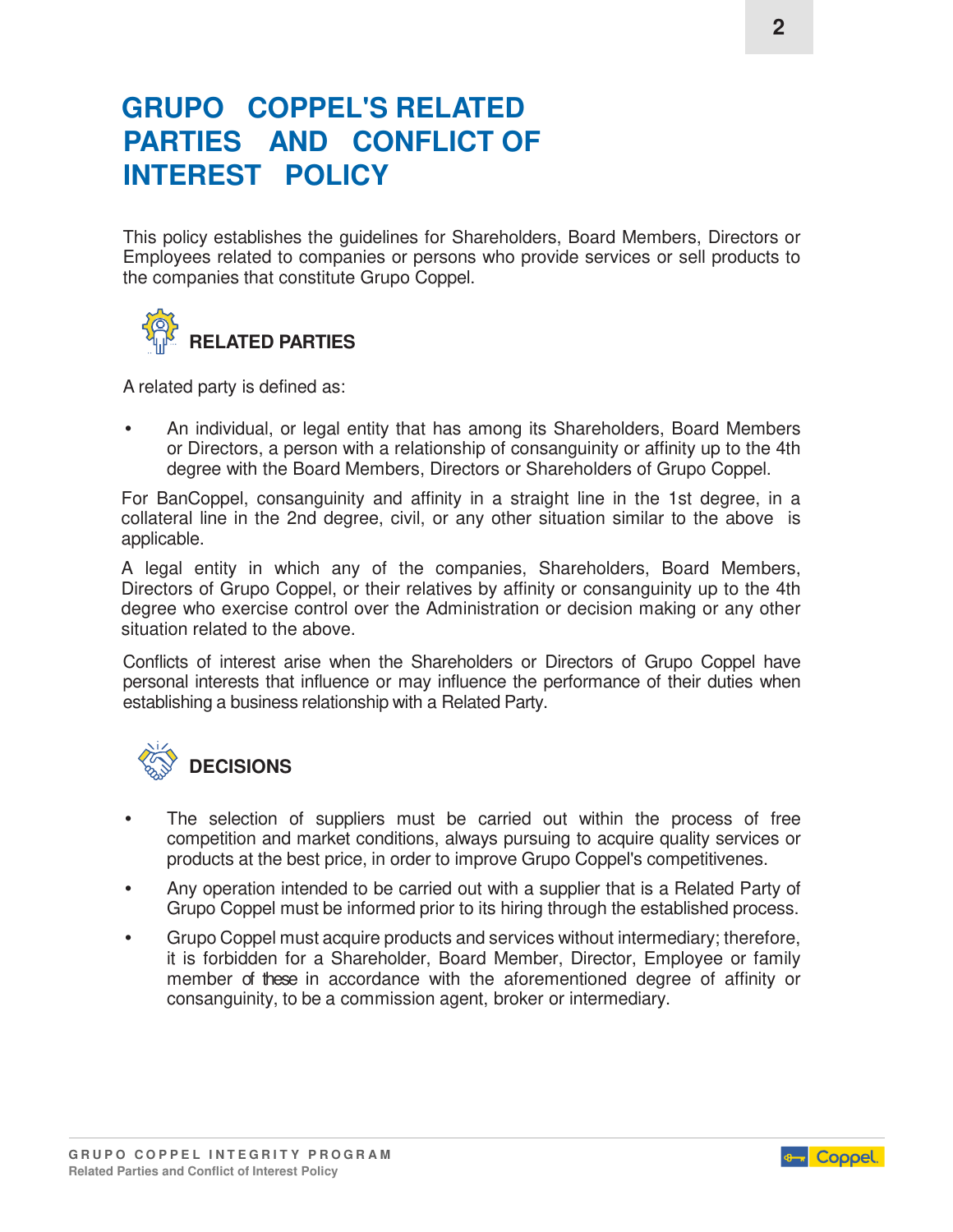### **GRUPO COPPEL'S RELATED PARTIES AND CONFLICT OF INTEREST POLICY**

This policy establishes the guidelines for Shareholders, Board Members, Directors or Employees related to companies or persons who provide services or sell products to the companies that constitute Grupo Coppel.



A related party is defined as:

• An individual, or legal entity that has among its Shareholders, Board Members or Directors, a person with a relationship of consanguinity or affinity up to the 4th degree with the Board Members, Directors or Shareholders of Grupo Coppel.

For BanCoppel, consanguinity and affinity in a straight line in the 1st degree, in a collateral line in the 2nd degree, civil, or any other situation similar to the above is applicable.

A legal entity in which any of the companies, Shareholders, Board Members, Directors of Grupo Coppel, or their relatives by affinity or consanguinity up to the 4th degree who exercise control over the Administration or decision making or any other situation related to the above.

Conflicts of interest arise when the Shareholders or Directors of Grupo Coppel have personal interests that influence or may influence the performance of their duties when establishing a business relationship with a Related Party.



- The selection of suppliers must be carried out within the process of free competition and market conditions, always pursuing to acquire quality services or products at the best price, in order to improve Grupo Coppel's competitivenes.
- Any operation intended to be carried out with a supplier that is a Related Party of Grupo Coppel must be informed prior to its hiring through the established process.
- Grupo Coppel must acquire products and services without intermediary; therefore, it is forbidden for a Shareholder, Board Member, Director, Employee or family member of these in accordance with the aforementioned degree of affinity or consanguinity, to be a commission agent, broker or intermediary.